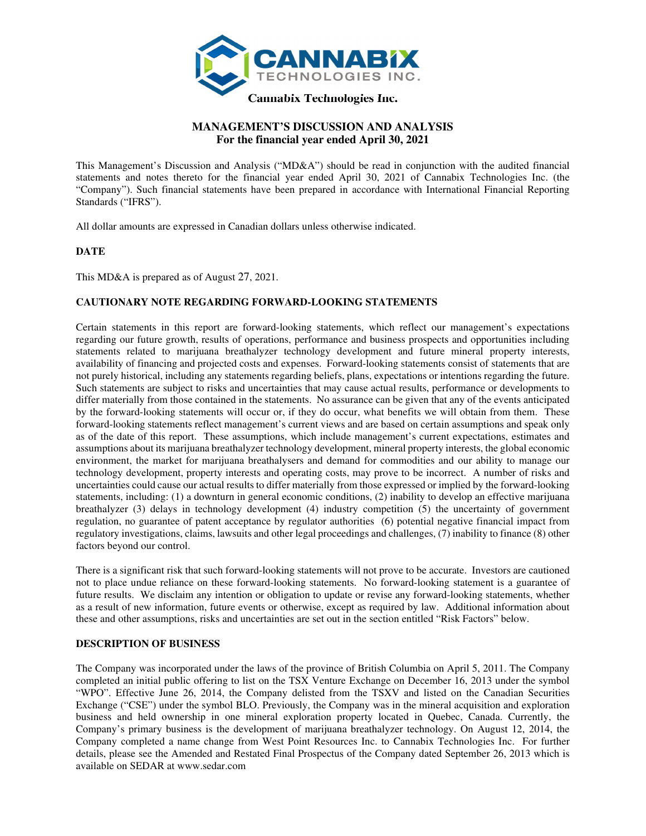

# **MANAGEMENT'S DISCUSSION AND ANALYSIS For the financial year ended April 30, 2021**

This Management's Discussion and Analysis ("MD&A") should be read in conjunction with the audited financial statements and notes thereto for the financial year ended April 30, 2021 of Cannabix Technologies Inc. (the "Company"). Such financial statements have been prepared in accordance with International Financial Reporting Standards ("IFRS").

All dollar amounts are expressed in Canadian dollars unless otherwise indicated.

# **DATE**

This MD&A is prepared as of August 27, 2021.

# **CAUTIONARY NOTE REGARDING FORWARD-LOOKING STATEMENTS**

Certain statements in this report are forward-looking statements, which reflect our management's expectations regarding our future growth, results of operations, performance and business prospects and opportunities including statements related to marijuana breathalyzer technology development and future mineral property interests, availability of financing and projected costs and expenses. Forward-looking statements consist of statements that are not purely historical, including any statements regarding beliefs, plans, expectations or intentions regarding the future. Such statements are subject to risks and uncertainties that may cause actual results, performance or developments to differ materially from those contained in the statements. No assurance can be given that any of the events anticipated by the forward-looking statements will occur or, if they do occur, what benefits we will obtain from them. These forward-looking statements reflect management's current views and are based on certain assumptions and speak only as of the date of this report. These assumptions, which include management's current expectations, estimates and assumptions about its marijuana breathalyzer technology development, mineral property interests, the global economic environment, the market for marijuana breathalysers and demand for commodities and our ability to manage our technology development, property interests and operating costs, may prove to be incorrect. A number of risks and uncertainties could cause our actual results to differ materially from those expressed or implied by the forward-looking statements, including: (1) a downturn in general economic conditions, (2) inability to develop an effective marijuana breathalyzer (3) delays in technology development (4) industry competition (5) the uncertainty of government regulation, no guarantee of patent acceptance by regulator authorities (6) potential negative financial impact from regulatory investigations, claims, lawsuits and other legal proceedings and challenges, (7) inability to finance (8) other factors beyond our control.

There is a significant risk that such forward-looking statements will not prove to be accurate. Investors are cautioned not to place undue reliance on these forward-looking statements. No forward-looking statement is a guarantee of future results. We disclaim any intention or obligation to update or revise any forward-looking statements, whether as a result of new information, future events or otherwise, except as required by law. Additional information about these and other assumptions, risks and uncertainties are set out in the section entitled "Risk Factors" below.

# **DESCRIPTION OF BUSINESS**

The Company was incorporated under the laws of the province of British Columbia on April 5, 2011. The Company completed an initial public offering to list on the TSX Venture Exchange on December 16, 2013 under the symbol "WPO". Effective June 26, 2014, the Company delisted from the TSXV and listed on the Canadian Securities Exchange ("CSE") under the symbol BLO. Previously, the Company was in the mineral acquisition and exploration business and held ownership in one mineral exploration property located in Quebec, Canada. Currently, the Company's primary business is the development of marijuana breathalyzer technology. On August 12, 2014, the Company completed a name change from West Point Resources Inc. to Cannabix Technologies Inc. For further details, please see the Amended and Restated Final Prospectus of the Company dated September 26, 2013 which is available on SEDAR at www.sedar.com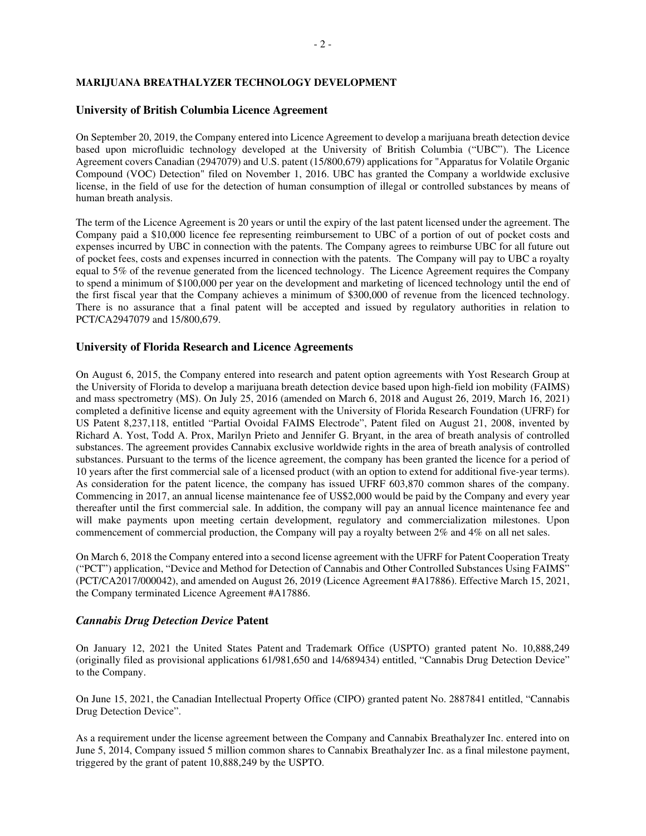# **MARIJUANA BREATHALYZER TECHNOLOGY DEVELOPMENT**

# **University of British Columbia Licence Agreement**

On September 20, 2019, the Company entered into Licence Agreement to develop a marijuana breath detection device based upon microfluidic technology developed at the University of British Columbia ("UBC"). The Licence Agreement covers Canadian (2947079) and U.S. patent (15/800,679) applications for "Apparatus for Volatile Organic Compound (VOC) Detection" filed on November 1, 2016. UBC has granted the Company a worldwide exclusive license, in the field of use for the detection of human consumption of illegal or controlled substances by means of human breath analysis.

The term of the Licence Agreement is 20 years or until the expiry of the last patent licensed under the agreement. The Company paid a \$10,000 licence fee representing reimbursement to UBC of a portion of out of pocket costs and expenses incurred by UBC in connection with the patents. The Company agrees to reimburse UBC for all future out of pocket fees, costs and expenses incurred in connection with the patents. The Company will pay to UBC a royalty equal to 5% of the revenue generated from the licenced technology. The Licence Agreement requires the Company to spend a minimum of \$100,000 per year on the development and marketing of licenced technology until the end of the first fiscal year that the Company achieves a minimum of \$300,000 of revenue from the licenced technology. There is no assurance that a final patent will be accepted and issued by regulatory authorities in relation to PCT/CA2947079 and 15/800,679.

# **University of Florida Research and Licence Agreements**

On August 6, 2015, the Company entered into research and patent option agreements with Yost Research Group at the University of Florida to develop a marijuana breath detection device based upon high-field ion mobility (FAIMS) and mass spectrometry (MS). On July 25, 2016 (amended on March 6, 2018 and August 26, 2019, March 16, 2021) completed a definitive license and equity agreement with the University of Florida Research Foundation (UFRF) for US Patent 8,237,118, entitled "Partial Ovoidal FAIMS Electrode", Patent filed on August 21, 2008, invented by Richard A. Yost, Todd A. Prox, Marilyn Prieto and Jennifer G. Bryant, in the area of breath analysis of controlled substances. The agreement provides Cannabix exclusive worldwide rights in the area of breath analysis of controlled substances. Pursuant to the terms of the licence agreement, the company has been granted the licence for a period of 10 years after the first commercial sale of a licensed product (with an option to extend for additional five-year terms). As consideration for the patent licence, the company has issued UFRF 603,870 common shares of the company. Commencing in 2017, an annual license maintenance fee of US\$2,000 would be paid by the Company and every year thereafter until the first commercial sale. In addition, the company will pay an annual licence maintenance fee and will make payments upon meeting certain development, regulatory and commercialization milestones. Upon commencement of commercial production, the Company will pay a royalty between 2% and 4% on all net sales.

On March 6, 2018 the Company entered into a second license agreement with the UFRF for Patent Cooperation Treaty ("PCT") application, "Device and Method for Detection of Cannabis and Other Controlled Substances Using FAIMS" (PCT/CA2017/000042), and amended on August 26, 2019 (Licence Agreement #A17886). Effective March 15, 2021, the Company terminated Licence Agreement #A17886.

# *Cannabis Drug Detection Device* **Patent**

On January 12, 2021 the United States Patent and Trademark Office (USPTO) granted patent No. 10,888,249 (originally filed as provisional applications 61/981,650 and 14/689434) entitled, "Cannabis Drug Detection Device" to the Company.

On June 15, 2021, the Canadian Intellectual Property Office (CIPO) granted patent No. 2887841 entitled, "Cannabis Drug Detection Device".

As a requirement under the license agreement between the Company and Cannabix Breathalyzer Inc. entered into on June 5, 2014, Company issued 5 million common shares to Cannabix Breathalyzer Inc. as a final milestone payment, triggered by the grant of patent 10,888,249 by the USPTO.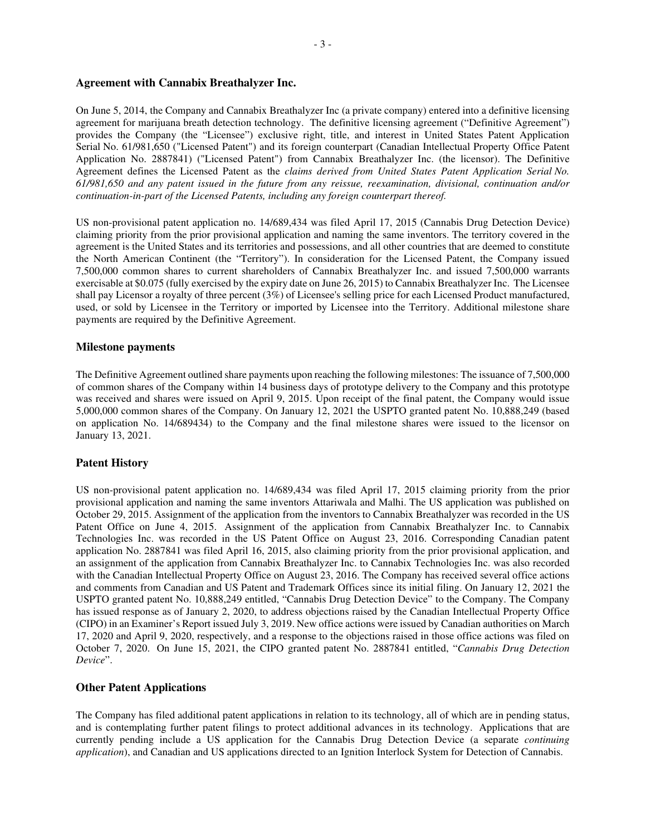# **Agreement with Cannabix Breathalyzer Inc.**

On June 5, 2014, the Company and Cannabix Breathalyzer Inc (a private company) entered into a definitive licensing agreement for marijuana breath detection technology. The definitive licensing agreement ("Definitive Agreement") provides the Company (the "Licensee") exclusive right, title, and interest in United States Patent Application Serial No. 61/981,650 ("Licensed Patent") and its foreign counterpart (Canadian Intellectual Property Office Patent Application No. 2887841) ("Licensed Patent") from Cannabix Breathalyzer Inc. (the licensor). The Definitive Agreement defines the Licensed Patent as the *claims derived from United States Patent Application Serial No. 61/981,650 and any patent issued in the future from any reissue, reexamination, divisional, continuation and/or continuation-in-part of the Licensed Patents, including any foreign counterpart thereof.* 

US non-provisional patent application no. 14/689,434 was filed April 17, 2015 (Cannabis Drug Detection Device) claiming priority from the prior provisional application and naming the same inventors. The territory covered in the agreement is the United States and its territories and possessions, and all other countries that are deemed to constitute the North American Continent (the "Territory"). In consideration for the Licensed Patent, the Company issued 7,500,000 common shares to current shareholders of Cannabix Breathalyzer Inc. and issued 7,500,000 warrants exercisable at \$0.075 (fully exercised by the expiry date on June 26, 2015) to Cannabix Breathalyzer Inc. The Licensee shall pay Licensor a royalty of three percent (3%) of Licensee's selling price for each Licensed Product manufactured, used, or sold by Licensee in the Territory or imported by Licensee into the Territory. Additional milestone share payments are required by the Definitive Agreement.

# **Milestone payments**

The Definitive Agreement outlined share payments upon reaching the following milestones: The issuance of 7,500,000 of common shares of the Company within 14 business days of prototype delivery to the Company and this prototype was received and shares were issued on April 9, 2015. Upon receipt of the final patent, the Company would issue 5,000,000 common shares of the Company. On January 12, 2021 the USPTO granted patent No. 10,888,249 (based on application No. 14/689434) to the Company and the final milestone shares were issued to the licensor on January 13, 2021.

# **Patent History**

US non-provisional patent application no. 14/689,434 was filed April 17, 2015 claiming priority from the prior provisional application and naming the same inventors Attariwala and Malhi. The US application was published on October 29, 2015. Assignment of the application from the inventors to Cannabix Breathalyzer was recorded in the US Patent Office on June 4, 2015. Assignment of the application from Cannabix Breathalyzer Inc. to Cannabix Technologies Inc. was recorded in the US Patent Office on August 23, 2016. Corresponding Canadian patent application No. 2887841 was filed April 16, 2015, also claiming priority from the prior provisional application, and an assignment of the application from Cannabix Breathalyzer Inc. to Cannabix Technologies Inc. was also recorded with the Canadian Intellectual Property Office on August 23, 2016. The Company has received several office actions and comments from Canadian and US Patent and Trademark Offices since its initial filing. On January 12, 2021 the USPTO granted patent No. 10,888,249 entitled, "Cannabis Drug Detection Device" to the Company. The Company has issued response as of January 2, 2020, to address objections raised by the Canadian Intellectual Property Office (CIPO) in an Examiner's Report issued July 3, 2019. New office actions were issued by Canadian authorities on March 17, 2020 and April 9, 2020, respectively, and a response to the objections raised in those office actions was filed on October 7, 2020. On June 15, 2021, the CIPO granted patent No. 2887841 entitled, "*Cannabis Drug Detection Device*".

#### **Other Patent Applications**

The Company has filed additional patent applications in relation to its technology, all of which are in pending status, and is contemplating further patent filings to protect additional advances in its technology. Applications that are currently pending include a US application for the Cannabis Drug Detection Device (a separate *continuing application*), and Canadian and US applications directed to an Ignition Interlock System for Detection of Cannabis.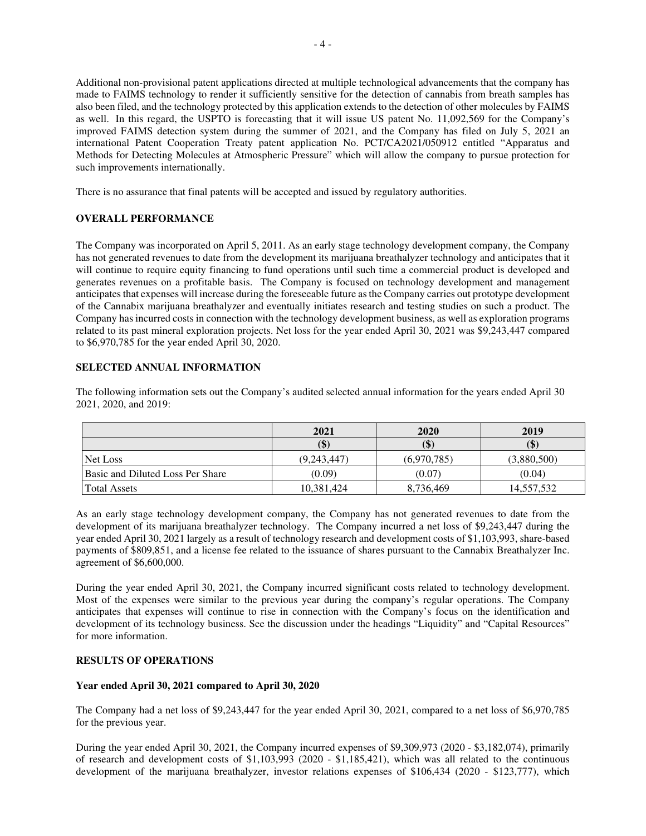Additional non-provisional patent applications directed at multiple technological advancements that the company has made to FAIMS technology to render it sufficiently sensitive for the detection of cannabis from breath samples has also been filed, and the technology protected by this application extends to the detection of other molecules by FAIMS as well. In this regard, the USPTO is forecasting that it will issue US patent No. 11,092,569 for the Company's improved FAIMS detection system during the summer of 2021, and the Company has filed on July 5, 2021 an international Patent Cooperation Treaty patent application No. PCT/CA2021/050912 entitled "Apparatus and Methods for Detecting Molecules at Atmospheric Pressure" which will allow the company to pursue protection for such improvements internationally.

There is no assurance that final patents will be accepted and issued by regulatory authorities.

# **OVERALL PERFORMANCE**

The Company was incorporated on April 5, 2011. As an early stage technology development company, the Company has not generated revenues to date from the development its marijuana breathalyzer technology and anticipates that it will continue to require equity financing to fund operations until such time a commercial product is developed and generates revenues on a profitable basis. The Company is focused on technology development and management anticipates that expenses will increase during the foreseeable future as the Company carries out prototype development of the Cannabix marijuana breathalyzer and eventually initiates research and testing studies on such a product. The Company has incurred costs in connection with the technology development business, as well as exploration programs related to its past mineral exploration projects. Net loss for the year ended April 30, 2021 was \$9,243,447 compared to \$6,970,785 for the year ended April 30, 2020.

# **SELECTED ANNUAL INFORMATION**

The following information sets out the Company's audited selected annual information for the years ended April 30 2021, 2020, and 2019:

|                                  | 2021        | 2020        | 2019        |
|----------------------------------|-------------|-------------|-------------|
|                                  | (\$)        | (J)         | IΨ.         |
| Net Loss                         | (9.243.447) | (6.970.785) | (3,880,500) |
| Basic and Diluted Loss Per Share | (0.09)      | (0.07)      | (0.04)      |
| <b>Total Assets</b>              | 10,381,424  | 8,736,469   | 14,557,532  |

As an early stage technology development company, the Company has not generated revenues to date from the development of its marijuana breathalyzer technology. The Company incurred a net loss of \$9,243,447 during the year ended April 30, 2021 largely as a result of technology research and development costs of \$1,103,993, share-based payments of \$809,851, and a license fee related to the issuance of shares pursuant to the Cannabix Breathalyzer Inc. agreement of \$6,600,000.

During the year ended April 30, 2021, the Company incurred significant costs related to technology development. Most of the expenses were similar to the previous year during the company's regular operations. The Company anticipates that expenses will continue to rise in connection with the Company's focus on the identification and development of its technology business. See the discussion under the headings "Liquidity" and "Capital Resources" for more information.

# **RESULTS OF OPERATIONS**

# **Year ended April 30, 2021 compared to April 30, 2020**

The Company had a net loss of \$9,243,447 for the year ended April 30, 2021, compared to a net loss of \$6,970,785 for the previous year.

During the year ended April 30, 2021, the Company incurred expenses of \$9,309,973 (2020 - \$3,182,074), primarily of research and development costs of \$1,103,993 (2020 - \$1,185,421), which was all related to the continuous development of the marijuana breathalyzer, investor relations expenses of \$106,434 (2020 - \$123,777), which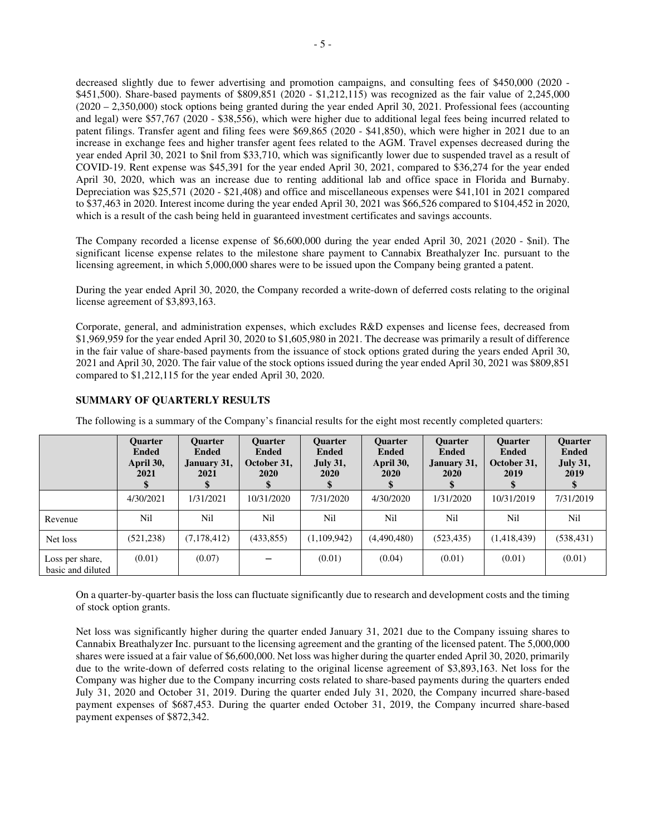decreased slightly due to fewer advertising and promotion campaigns, and consulting fees of \$450,000 (2020 - \$451,500). Share-based payments of \$809,851 (2020 - \$1,212,115) was recognized as the fair value of 2,245,000 (2020 – 2,350,000) stock options being granted during the year ended April 30, 2021. Professional fees (accounting and legal) were \$57,767 (2020 - \$38,556), which were higher due to additional legal fees being incurred related to patent filings. Transfer agent and filing fees were \$69,865 (2020 - \$41,850), which were higher in 2021 due to an increase in exchange fees and higher transfer agent fees related to the AGM. Travel expenses decreased during the year ended April 30, 2021 to \$nil from \$33,710, which was significantly lower due to suspended travel as a result of COVID-19. Rent expense was \$45,391 for the year ended April 30, 2021, compared to \$36,274 for the year ended April 30, 2020, which was an increase due to renting additional lab and office space in Florida and Burnaby. Depreciation was \$25,571 (2020 - \$21,408) and office and miscellaneous expenses were \$41,101 in 2021 compared to \$37,463 in 2020. Interest income during the year ended April 30, 2021 was \$66,526 compared to \$104,452 in 2020, which is a result of the cash being held in guaranteed investment certificates and savings accounts.

The Company recorded a license expense of \$6,600,000 during the year ended April 30, 2021 (2020 - \$nil). The significant license expense relates to the milestone share payment to Cannabix Breathalyzer Inc. pursuant to the licensing agreement, in which 5,000,000 shares were to be issued upon the Company being granted a patent.

During the year ended April 30, 2020, the Company recorded a write-down of deferred costs relating to the original license agreement of \$3,893,163.

Corporate, general, and administration expenses, which excludes R&D expenses and license fees, decreased from \$1,969,959 for the year ended April 30, 2020 to \$1,605,980 in 2021. The decrease was primarily a result of difference in the fair value of share-based payments from the issuance of stock options grated during the years ended April 30, 2021 and April 30, 2020. The fair value of the stock options issued during the year ended April 30, 2021 was \$809,851 compared to \$1,212,115 for the year ended April 30, 2020.

#### **Quarter Ended April 30, 2021 \$ Quarter Ended January 31, 2021 \$ Quarter Ended October 31, 2020 \$ Quarter Ended July 31, 2020 \$ Quarter Ended April 30, 2020 \$ Quarter Ended January 31, 2020 \$ Quarter Ended October 31, 2019 \$ Quarter Ended July 31, 2019 \$**  4/30/2021 1/31/2021 10/31/2020 7/31/2020 4/30/2020 1/31/2020 10/31/2019 7/31/2019 Revenue | Nil | Nil | Nil | Nil | Nil | Nil | Nil | Nil Net loss (521,238) (7,178,412) (433,855) (1,109,942) (4,490,480) (523,435) (1,418,439) (538,431) Loss per share, basic and diluted  $(0.01)$   $(0.07)$   $(0.01)$   $(0.04)$   $(0.01)$   $(0.01)$   $(0.01)$   $(0.01)$

**SUMMARY OF QUARTERLY RESULTS** 

The following is a summary of the Company's financial results for the eight most recently completed quarters:

On a quarter-by-quarter basis the loss can fluctuate significantly due to research and development costs and the timing of stock option grants.

Net loss was significantly higher during the quarter ended January 31, 2021 due to the Company issuing shares to Cannabix Breathalyzer Inc. pursuant to the licensing agreement and the granting of the licensed patent. The 5,000,000 shares were issued at a fair value of \$6,600,000. Net loss was higher during the quarter ended April 30, 2020, primarily due to the write-down of deferred costs relating to the original license agreement of \$3,893,163. Net loss for the Company was higher due to the Company incurring costs related to share-based payments during the quarters ended July 31, 2020 and October 31, 2019. During the quarter ended July 31, 2020, the Company incurred share-based payment expenses of \$687,453. During the quarter ended October 31, 2019, the Company incurred share-based payment expenses of \$872,342.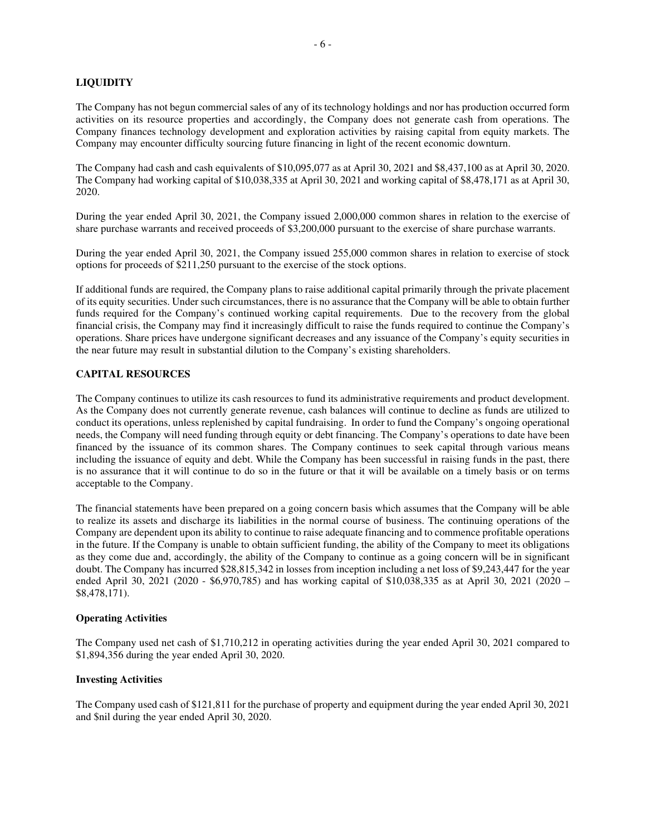# **LIQUIDITY**

The Company has not begun commercial sales of any of its technology holdings and nor has production occurred form activities on its resource properties and accordingly, the Company does not generate cash from operations. The Company finances technology development and exploration activities by raising capital from equity markets. The Company may encounter difficulty sourcing future financing in light of the recent economic downturn.

The Company had cash and cash equivalents of \$10,095,077 as at April 30, 2021 and \$8,437,100 as at April 30, 2020. The Company had working capital of \$10,038,335 at April 30, 2021 and working capital of \$8,478,171 as at April 30, 2020.

During the year ended April 30, 2021, the Company issued 2,000,000 common shares in relation to the exercise of share purchase warrants and received proceeds of \$3,200,000 pursuant to the exercise of share purchase warrants.

During the year ended April 30, 2021, the Company issued 255,000 common shares in relation to exercise of stock options for proceeds of \$211,250 pursuant to the exercise of the stock options.

If additional funds are required, the Company plans to raise additional capital primarily through the private placement of its equity securities. Under such circumstances, there is no assurance that the Company will be able to obtain further funds required for the Company's continued working capital requirements. Due to the recovery from the global financial crisis, the Company may find it increasingly difficult to raise the funds required to continue the Company's operations. Share prices have undergone significant decreases and any issuance of the Company's equity securities in the near future may result in substantial dilution to the Company's existing shareholders.

# **CAPITAL RESOURCES**

The Company continues to utilize its cash resources to fund its administrative requirements and product development. As the Company does not currently generate revenue, cash balances will continue to decline as funds are utilized to conduct its operations, unless replenished by capital fundraising. In order to fund the Company's ongoing operational needs, the Company will need funding through equity or debt financing. The Company's operations to date have been financed by the issuance of its common shares. The Company continues to seek capital through various means including the issuance of equity and debt. While the Company has been successful in raising funds in the past, there is no assurance that it will continue to do so in the future or that it will be available on a timely basis or on terms acceptable to the Company.

The financial statements have been prepared on a going concern basis which assumes that the Company will be able to realize its assets and discharge its liabilities in the normal course of business. The continuing operations of the Company are dependent upon its ability to continue to raise adequate financing and to commence profitable operations in the future. If the Company is unable to obtain sufficient funding, the ability of the Company to meet its obligations as they come due and, accordingly, the ability of the Company to continue as a going concern will be in significant doubt. The Company has incurred \$28,815,342 in losses from inception including a net loss of \$9,243,447 for the year ended April 30, 2021 (2020 - \$6,970,785) and has working capital of \$10,038,335 as at April 30, 2021 (2020 – \$8,478,171).

# **Operating Activities**

The Company used net cash of \$1,710,212 in operating activities during the year ended April 30, 2021 compared to \$1,894,356 during the year ended April 30, 2020.

# **Investing Activities**

The Company used cash of \$121,811 for the purchase of property and equipment during the year ended April 30, 2021 and \$nil during the year ended April 30, 2020.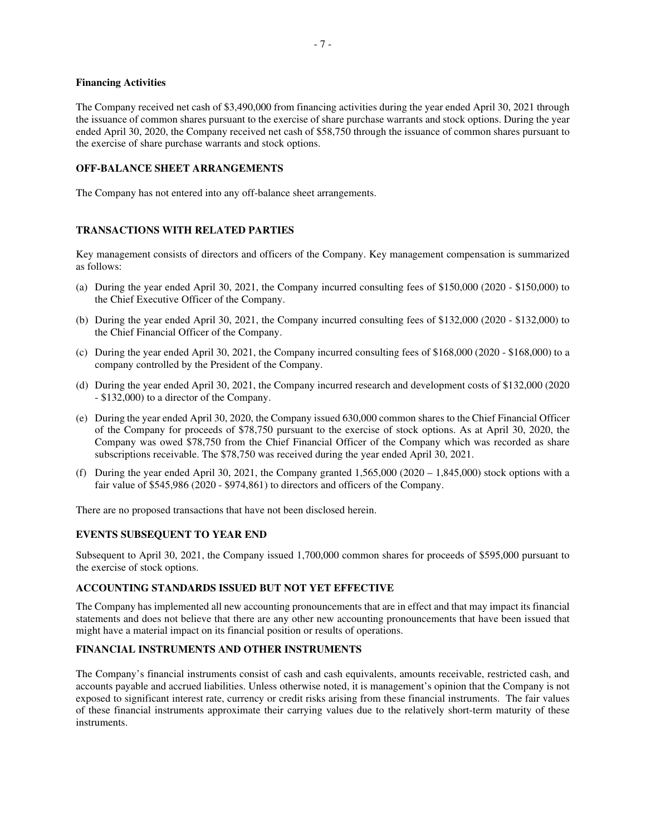#### **Financing Activities**

The Company received net cash of \$3,490,000 from financing activities during the year ended April 30, 2021 through the issuance of common shares pursuant to the exercise of share purchase warrants and stock options. During the year ended April 30, 2020, the Company received net cash of \$58,750 through the issuance of common shares pursuant to the exercise of share purchase warrants and stock options.

# **OFF-BALANCE SHEET ARRANGEMENTS**

The Company has not entered into any off-balance sheet arrangements.

# **TRANSACTIONS WITH RELATED PARTIES**

Key management consists of directors and officers of the Company. Key management compensation is summarized as follows:

- (a) During the year ended April 30, 2021, the Company incurred consulting fees of \$150,000 (2020 \$150,000) to the Chief Executive Officer of the Company.
- (b) During the year ended April 30, 2021, the Company incurred consulting fees of \$132,000 (2020 \$132,000) to the Chief Financial Officer of the Company.
- (c) During the year ended April 30, 2021, the Company incurred consulting fees of \$168,000 (2020 \$168,000) to a company controlled by the President of the Company.
- (d) During the year ended April 30, 2021, the Company incurred research and development costs of \$132,000 (2020 - \$132,000) to a director of the Company.
- (e) During the year ended April 30, 2020, the Company issued 630,000 common shares to the Chief Financial Officer of the Company for proceeds of \$78,750 pursuant to the exercise of stock options. As at April 30, 2020, the Company was owed \$78,750 from the Chief Financial Officer of the Company which was recorded as share subscriptions receivable. The \$78,750 was received during the year ended April 30, 2021.
- (f) During the year ended April 30, 2021, the Company granted  $1,565,000$  (2020 1,845,000) stock options with a fair value of \$545,986 (2020 - \$974,861) to directors and officers of the Company.

There are no proposed transactions that have not been disclosed herein.

# **EVENTS SUBSEQUENT TO YEAR END**

Subsequent to April 30, 2021, the Company issued 1,700,000 common shares for proceeds of \$595,000 pursuant to the exercise of stock options.

# **ACCOUNTING STANDARDS ISSUED BUT NOT YET EFFECTIVE**

The Company has implemented all new accounting pronouncements that are in effect and that may impact its financial statements and does not believe that there are any other new accounting pronouncements that have been issued that might have a material impact on its financial position or results of operations.

# **FINANCIAL INSTRUMENTS AND OTHER INSTRUMENTS**

The Company's financial instruments consist of cash and cash equivalents, amounts receivable, restricted cash, and accounts payable and accrued liabilities. Unless otherwise noted, it is management's opinion that the Company is not exposed to significant interest rate, currency or credit risks arising from these financial instruments. The fair values of these financial instruments approximate their carrying values due to the relatively short-term maturity of these instruments.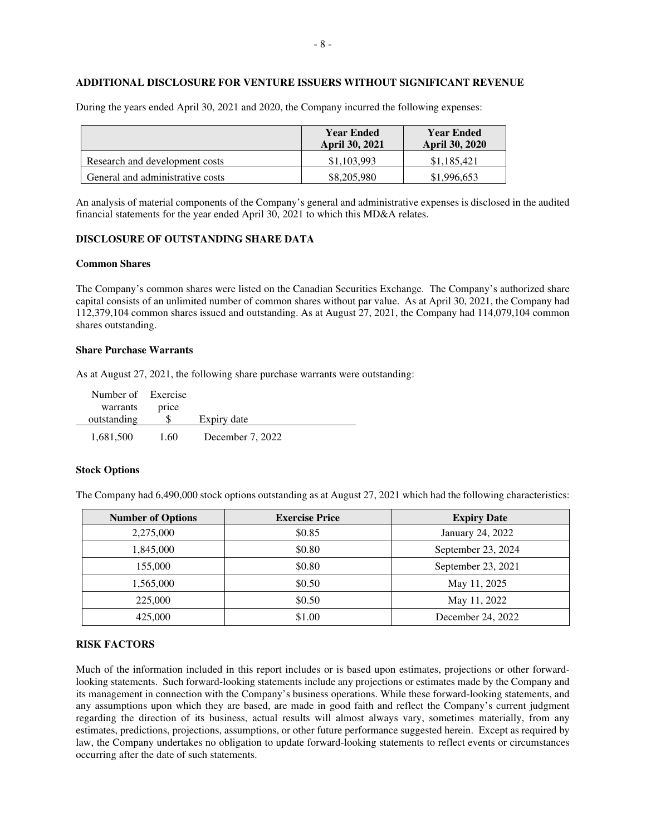# **ADDITIONAL DISCLOSURE FOR VENTURE ISSUERS WITHOUT SIGNIFICANT REVENUE**

|                                  | <b>Year Ended</b><br><b>April 30, 2021</b> | <b>Year Ended</b><br><b>April 30, 2020</b> |
|----------------------------------|--------------------------------------------|--------------------------------------------|
| Research and development costs   | \$1,103,993                                | \$1,185,421                                |
| General and administrative costs | \$8,205,980                                | \$1,996,653                                |

During the years ended April 30, 2021 and 2020, the Company incurred the following expenses:

An analysis of material components of the Company's general and administrative expenses is disclosed in the audited financial statements for the year ended April 30, 2021 to which this MD&A relates.

#### **DISCLOSURE OF OUTSTANDING SHARE DATA**

#### **Common Shares**

The Company's common shares were listed on the Canadian Securities Exchange. The Company's authorized share capital consists of an unlimited number of common shares without par value. As at April 30, 2021, the Company had 112,379,104 common shares issued and outstanding. As at August 27, 2021, the Company had 114,079,104 common shares outstanding.

# **Share Purchase Warrants**

As at August 27, 2021, the following share purchase warrants were outstanding:

| Number of Exercise |       |                  |  |
|--------------------|-------|------------------|--|
| warrants           | price |                  |  |
| outstanding        |       | Expiry date      |  |
| 1,681,500          | 1.60  | December 7, 2022 |  |

# **Stock Options**

The Company had 6,490,000 stock options outstanding as at August 27, 2021 which had the following characteristics:

| <b>Number of Options</b> | <b>Exercise Price</b> | <b>Expiry Date</b> |
|--------------------------|-----------------------|--------------------|
| 2,275,000                | \$0.85                | January 24, 2022   |
| 1,845,000                | \$0.80                | September 23, 2024 |
| 155,000                  | \$0.80                | September 23, 2021 |
| 1,565,000                | \$0.50                | May 11, 2025       |
| 225,000                  | \$0.50                | May 11, 2022       |
| 425,000                  | \$1.00                | December 24, 2022  |

# **RISK FACTORS**

Much of the information included in this report includes or is based upon estimates, projections or other forwardlooking statements. Such forward-looking statements include any projections or estimates made by the Company and its management in connection with the Company's business operations. While these forward-looking statements, and any assumptions upon which they are based, are made in good faith and reflect the Company's current judgment regarding the direction of its business, actual results will almost always vary, sometimes materially, from any estimates, predictions, projections, assumptions, or other future performance suggested herein. Except as required by law, the Company undertakes no obligation to update forward-looking statements to reflect events or circumstances occurring after the date of such statements.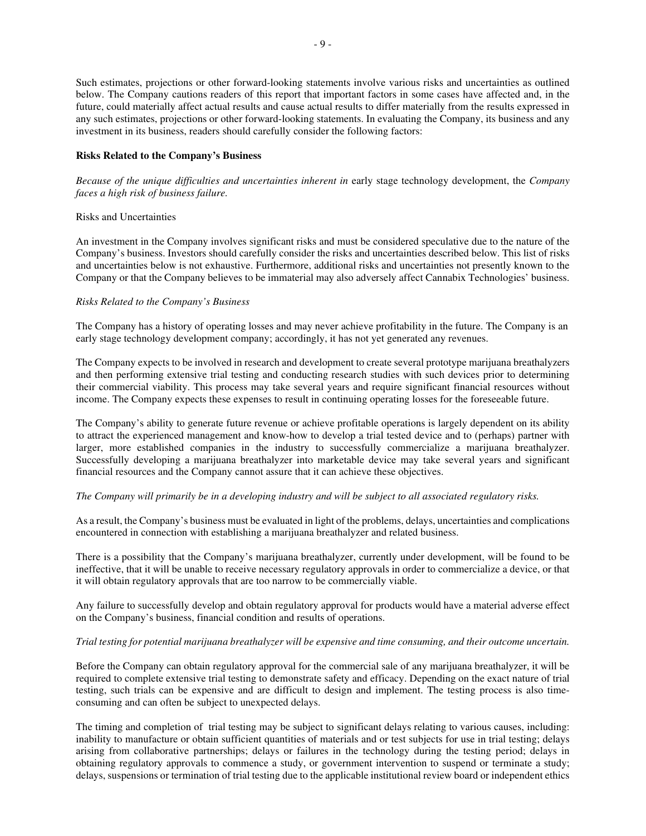Such estimates, projections or other forward-looking statements involve various risks and uncertainties as outlined below. The Company cautions readers of this report that important factors in some cases have affected and, in the future, could materially affect actual results and cause actual results to differ materially from the results expressed in any such estimates, projections or other forward-looking statements. In evaluating the Company, its business and any investment in its business, readers should carefully consider the following factors:

# **Risks Related to the Company's Business**

*Because of the unique difficulties and uncertainties inherent in* early stage technology development, the *Company faces a high risk of business failure.* 

### Risks and Uncertainties

An investment in the Company involves significant risks and must be considered speculative due to the nature of the Company's business. Investors should carefully consider the risks and uncertainties described below. This list of risks and uncertainties below is not exhaustive. Furthermore, additional risks and uncertainties not presently known to the Company or that the Company believes to be immaterial may also adversely affect Cannabix Technologies' business.

# *Risks Related to the Company's Business*

The Company has a history of operating losses and may never achieve profitability in the future. The Company is an early stage technology development company; accordingly, it has not yet generated any revenues.

The Company expects to be involved in research and development to create several prototype marijuana breathalyzers and then performing extensive trial testing and conducting research studies with such devices prior to determining their commercial viability. This process may take several years and require significant financial resources without income. The Company expects these expenses to result in continuing operating losses for the foreseeable future.

The Company's ability to generate future revenue or achieve profitable operations is largely dependent on its ability to attract the experienced management and know-how to develop a trial tested device and to (perhaps) partner with larger, more established companies in the industry to successfully commercialize a marijuana breathalyzer. Successfully developing a marijuana breathalyzer into marketable device may take several years and significant financial resources and the Company cannot assure that it can achieve these objectives.

# *The Company will primarily be in a developing industry and will be subject to all associated regulatory risks.*

As a result, the Company's business must be evaluated in light of the problems, delays, uncertainties and complications encountered in connection with establishing a marijuana breathalyzer and related business.

There is a possibility that the Company's marijuana breathalyzer, currently under development, will be found to be ineffective, that it will be unable to receive necessary regulatory approvals in order to commercialize a device, or that it will obtain regulatory approvals that are too narrow to be commercially viable.

Any failure to successfully develop and obtain regulatory approval for products would have a material adverse effect on the Company's business, financial condition and results of operations.

# *Trial testing for potential marijuana breathalyzer will be expensive and time consuming, and their outcome uncertain.*

Before the Company can obtain regulatory approval for the commercial sale of any marijuana breathalyzer, it will be required to complete extensive trial testing to demonstrate safety and efficacy. Depending on the exact nature of trial testing, such trials can be expensive and are difficult to design and implement. The testing process is also timeconsuming and can often be subject to unexpected delays.

The timing and completion of trial testing may be subject to significant delays relating to various causes, including: inability to manufacture or obtain sufficient quantities of materials and or test subjects for use in trial testing; delays arising from collaborative partnerships; delays or failures in the technology during the testing period; delays in obtaining regulatory approvals to commence a study, or government intervention to suspend or terminate a study; delays, suspensions or termination of trial testing due to the applicable institutional review board or independent ethics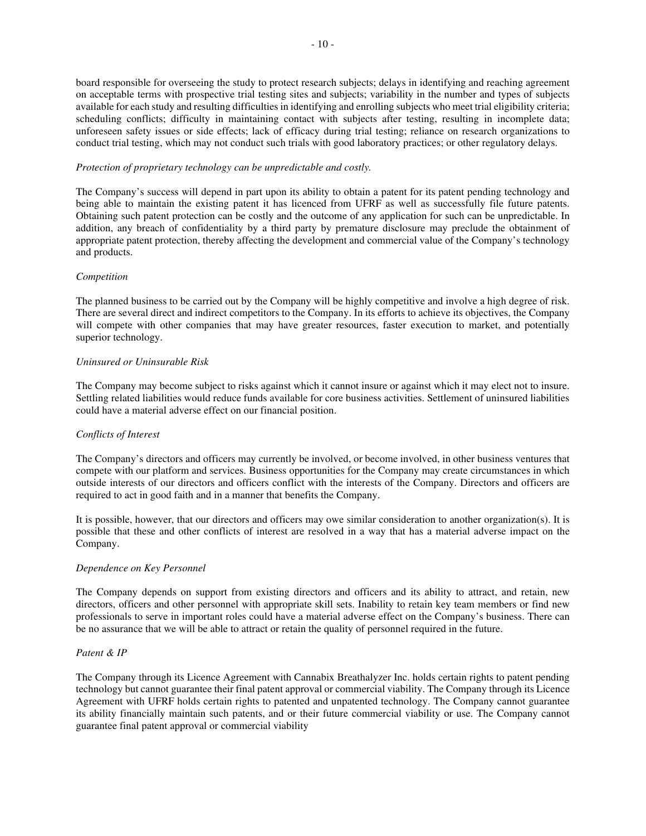board responsible for overseeing the study to protect research subjects; delays in identifying and reaching agreement on acceptable terms with prospective trial testing sites and subjects; variability in the number and types of subjects available for each study and resulting difficulties in identifying and enrolling subjects who meet trial eligibility criteria; scheduling conflicts; difficulty in maintaining contact with subjects after testing, resulting in incomplete data; unforeseen safety issues or side effects; lack of efficacy during trial testing; reliance on research organizations to conduct trial testing, which may not conduct such trials with good laboratory practices; or other regulatory delays.

# *Protection of proprietary technology can be unpredictable and costly.*

The Company's success will depend in part upon its ability to obtain a patent for its patent pending technology and being able to maintain the existing patent it has licenced from UFRF as well as successfully file future patents. Obtaining such patent protection can be costly and the outcome of any application for such can be unpredictable. In addition, any breach of confidentiality by a third party by premature disclosure may preclude the obtainment of appropriate patent protection, thereby affecting the development and commercial value of the Company's technology and products.

# *Competition*

The planned business to be carried out by the Company will be highly competitive and involve a high degree of risk. There are several direct and indirect competitors to the Company. In its efforts to achieve its objectives, the Company will compete with other companies that may have greater resources, faster execution to market, and potentially superior technology.

# *Uninsured or Uninsurable Risk*

The Company may become subject to risks against which it cannot insure or against which it may elect not to insure. Settling related liabilities would reduce funds available for core business activities. Settlement of uninsured liabilities could have a material adverse effect on our financial position.

# *Conflicts of Interest*

The Company's directors and officers may currently be involved, or become involved, in other business ventures that compete with our platform and services. Business opportunities for the Company may create circumstances in which outside interests of our directors and officers conflict with the interests of the Company. Directors and officers are required to act in good faith and in a manner that benefits the Company.

It is possible, however, that our directors and officers may owe similar consideration to another organization(s). It is possible that these and other conflicts of interest are resolved in a way that has a material adverse impact on the Company.

# *Dependence on Key Personnel*

The Company depends on support from existing directors and officers and its ability to attract, and retain, new directors, officers and other personnel with appropriate skill sets. Inability to retain key team members or find new professionals to serve in important roles could have a material adverse effect on the Company's business. There can be no assurance that we will be able to attract or retain the quality of personnel required in the future.

# *Patent & IP*

The Company through its Licence Agreement with Cannabix Breathalyzer Inc. holds certain rights to patent pending technology but cannot guarantee their final patent approval or commercial viability. The Company through its Licence Agreement with UFRF holds certain rights to patented and unpatented technology. The Company cannot guarantee its ability financially maintain such patents, and or their future commercial viability or use. The Company cannot guarantee final patent approval or commercial viability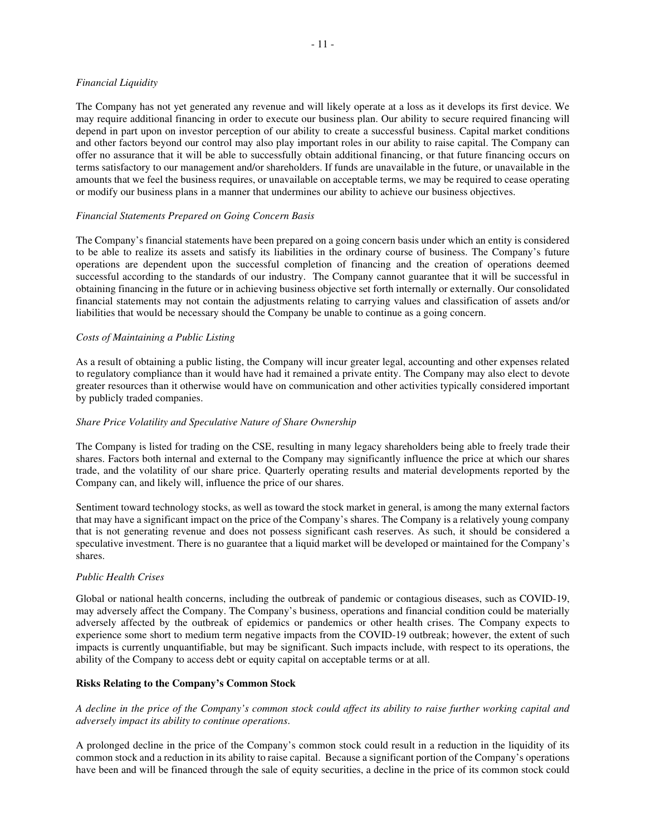# *Financial Liquidity*

The Company has not yet generated any revenue and will likely operate at a loss as it develops its first device. We may require additional financing in order to execute our business plan. Our ability to secure required financing will depend in part upon on investor perception of our ability to create a successful business. Capital market conditions and other factors beyond our control may also play important roles in our ability to raise capital. The Company can offer no assurance that it will be able to successfully obtain additional financing, or that future financing occurs on terms satisfactory to our management and/or shareholders. If funds are unavailable in the future, or unavailable in the amounts that we feel the business requires, or unavailable on acceptable terms, we may be required to cease operating or modify our business plans in a manner that undermines our ability to achieve our business objectives.

# *Financial Statements Prepared on Going Concern Basis*

The Company's financial statements have been prepared on a going concern basis under which an entity is considered to be able to realize its assets and satisfy its liabilities in the ordinary course of business. The Company's future operations are dependent upon the successful completion of financing and the creation of operations deemed successful according to the standards of our industry. The Company cannot guarantee that it will be successful in obtaining financing in the future or in achieving business objective set forth internally or externally. Our consolidated financial statements may not contain the adjustments relating to carrying values and classification of assets and/or liabilities that would be necessary should the Company be unable to continue as a going concern.

# *Costs of Maintaining a Public Listing*

As a result of obtaining a public listing, the Company will incur greater legal, accounting and other expenses related to regulatory compliance than it would have had it remained a private entity. The Company may also elect to devote greater resources than it otherwise would have on communication and other activities typically considered important by publicly traded companies.

# *Share Price Volatility and Speculative Nature of Share Ownership*

The Company is listed for trading on the CSE, resulting in many legacy shareholders being able to freely trade their shares. Factors both internal and external to the Company may significantly influence the price at which our shares trade, and the volatility of our share price. Quarterly operating results and material developments reported by the Company can, and likely will, influence the price of our shares.

Sentiment toward technology stocks, as well as toward the stock market in general, is among the many external factors that may have a significant impact on the price of the Company's shares. The Company is a relatively young company that is not generating revenue and does not possess significant cash reserves. As such, it should be considered a speculative investment. There is no guarantee that a liquid market will be developed or maintained for the Company's shares.

# *Public Health Crises*

Global or national health concerns, including the outbreak of pandemic or contagious diseases, such as COVID-19, may adversely affect the Company. The Company's business, operations and financial condition could be materially adversely affected by the outbreak of epidemics or pandemics or other health crises. The Company expects to experience some short to medium term negative impacts from the COVID-19 outbreak; however, the extent of such impacts is currently unquantifiable, but may be significant. Such impacts include, with respect to its operations, the ability of the Company to access debt or equity capital on acceptable terms or at all.

# **Risks Relating to the Company's Common Stock**

*A decline in the price of the Company's common stock could affect its ability to raise further working capital and adversely impact its ability to continue operations*.

A prolonged decline in the price of the Company's common stock could result in a reduction in the liquidity of its common stock and a reduction in its ability to raise capital. Because a significant portion of the Company's operations have been and will be financed through the sale of equity securities, a decline in the price of its common stock could